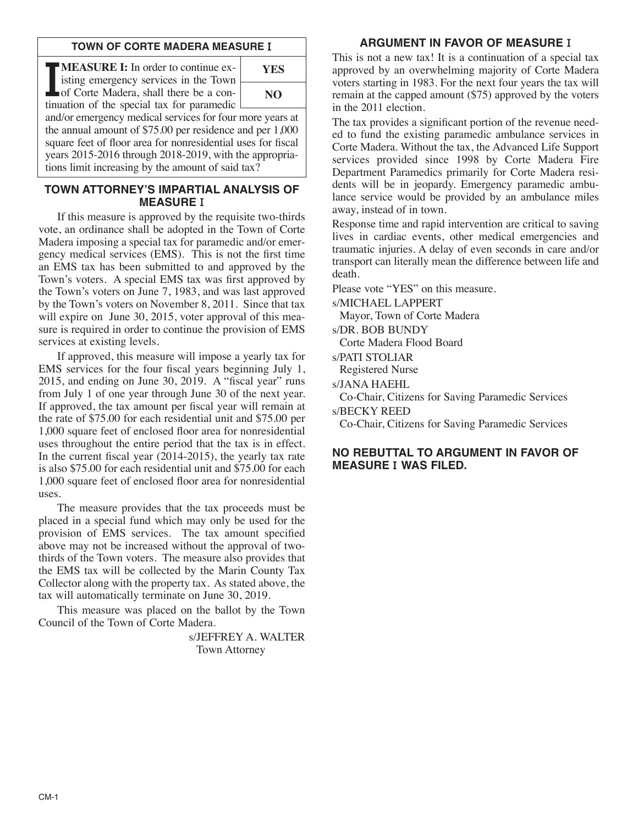#### **TOWN OF CORTE MADERA MEASURE** I

**IMEASURE I:** In order to continue existing emergency services in the Town<br>of Corte Madera, shall there be a con-<br>tinuation of the special tex for perpendic **MEASURE I:** In order to continue existing emergency services in the Town tinuation of the special tax for paramedic



and/or emergency medical services for four more years at the annual amount of \$75.00 per residence and per 1,000 square feet of floor area for nonresidential uses for fiscal years 2015-2016 through 2018-2019, with the appropriations limit increasing by the amount of said tax?

### **TOWN ATTORNEY'S IMPARTIAL ANALYSIS OF MEASURE** I

If this measure is approved by the requisite two-thirds vote, an ordinance shall be adopted in the Town of Corte Madera imposing a special tax for paramedic and/or emergency medical services (EMS). This is not the first time an EMS tax has been submitted to and approved by the Town's voters. A special EMS tax was first approved by the Town's voters on June 7, 1983, and was last approved by the Town's voters on November 8, 2011. Since that tax will expire on June 30, 2015, voter approval of this measure is required in order to continue the provision of EMS services at existing levels.

If approved, this measure will impose a yearly tax for EMS services for the four fiscal years beginning July 1, 2015, and ending on June 30, 2019. A "fiscal year" runs from July 1 of one year through June 30 of the next year. If approved, the tax amount per fiscal year will remain at the rate of \$75.00 for each residential unit and \$75.00 per 1,000 square feet of enclosed floor area for nonresidential uses throughout the entire period that the tax is in effect. In the current fiscal year (2014-2015), the yearly tax rate is also \$75.00 for each residential unit and \$75.00 for each 1,000 square feet of enclosed floor area for nonresidential uses.

The measure provides that the tax proceeds must be placed in a special fund which may only be used for the provision of EMS services. The tax amount specified above may not be increased without the approval of twothirds of the Town voters. The measure also provides that the EMS tax will be collected by the Marin County Tax Collector along with the property tax. As stated above, the tax will automatically terminate on June 30, 2019.

This measure was placed on the ballot by the Town Council of the Town of Corte Madera.

> s/JEFFREY A. WALTER Town Attorney

# **ARGUMENT IN FAVOR OF MEASURE** I

This is not a new tax! It is a continuation of a special tax approved by an overwhelming majority of Corte Madera voters starting in 1983. For the next four years the tax will remain at the capped amount (\$75) approved by the voters in the 2011 election.

The tax provides a significant portion of the revenue needed to fund the existing paramedic ambulance services in Corte Madera. Without the tax, the Advanced Life Support services provided since 1998 by Corte Madera Fire Department Paramedics primarily for Corte Madera residents will be in jeopardy. Emergency paramedic ambulance service would be provided by an ambulance miles away, instead of in town.

Response time and rapid intervention are critical to saving lives in cardiac events, other medical emergencies and traumatic injuries. A delay of even seconds in care and/or transport can literally mean the difference between life and death.

Please vote "YES" on this measure.

s/MICHAEL LAPPERT

Mayor, Town of Corte Madera

s/DR. BOB BUNDY

Corte Madera Flood Board

s/PATI STOLIAR

Registered Nurse

s/JANA HAEHL

Co-Chair, Citizens for Saving Paramedic Services

s/BECKY REED

Co-Chair, Citizens for Saving Paramedic Services

#### **NO REBUTTAL TO ARGUMENT IN FAVOR OF MEASURE** I **WAS FILED.**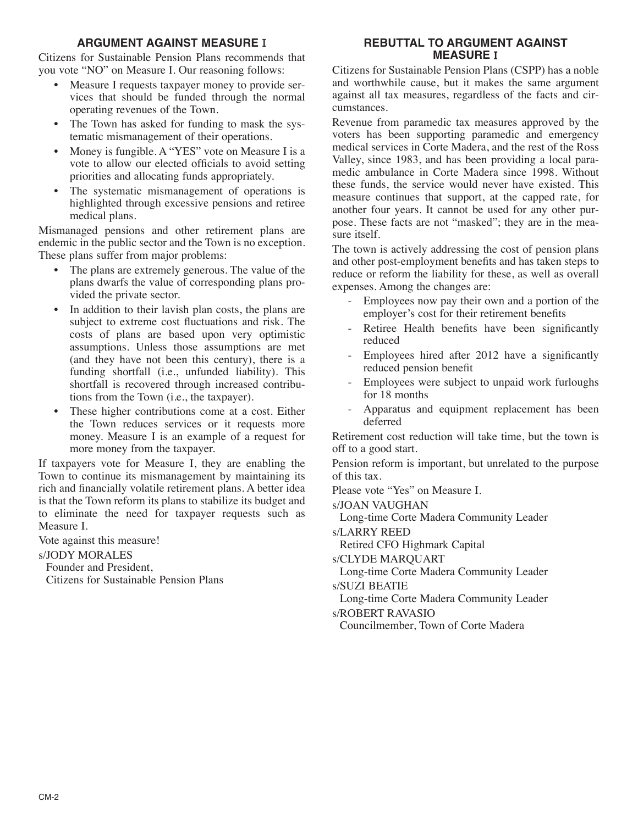# **ARGUMENT AGAINST MEASURE** I

Citizens for Sustainable Pension Plans recommends that you vote "NO" on Measure I. Our reasoning follows:

- Measure I requests taxpayer money to provide services that should be funded through the normal operating revenues of the Town.
- The Town has asked for funding to mask the systematic mismanagement of their operations.
- Money is fungible. A "YES" vote on Measure I is a vote to allow our elected officials to avoid setting priorities and allocating funds appropriately.
- The systematic mismanagement of operations is highlighted through excessive pensions and retiree medical plans.

Mismanaged pensions and other retirement plans are endemic in the public sector and the Town is no exception. These plans suffer from major problems:

- The plans are extremely generous. The value of the plans dwarfs the value of corresponding plans provided the private sector.
- In addition to their lavish plan costs, the plans are subject to extreme cost fluctuations and risk. The costs of plans are based upon very optimistic assumptions. Unless those assumptions are met (and they have not been this century), there is a funding shortfall (i.e., unfunded liability). This shortfall is recovered through increased contributions from the Town (i.e., the taxpayer).
- These higher contributions come at a cost. Either the Town reduces services or it requests more money. Measure I is an example of a request for more money from the taxpayer.

If taxpayers vote for Measure I, they are enabling the Town to continue its mismanagement by maintaining its rich and financially volatile retirement plans. A better idea is that the Town reform its plans to stabilize its budget and to eliminate the need for taxpayer requests such as Measure I.

Vote against this measure!

s/JODY MORALES

Founder and President, Citizens for Sustainable Pension Plans

## **REBUTTAL TO ARGUMENT AGAINST MEASURE** I

Citizens for Sustainable Pension Plans (CSPP) has a noble and worthwhile cause, but it makes the same argument against all tax measures, regardless of the facts and circumstances.

Revenue from paramedic tax measures approved by the voters has been supporting paramedic and emergency medical services in Corte Madera, and the rest of the Ross Valley, since 1983, and has been providing a local paramedic ambulance in Corte Madera since 1998. Without these funds, the service would never have existed. This measure continues that support, at the capped rate, for another four years. It cannot be used for any other purpose. These facts are not "masked"; they are in the measure itself.

The town is actively addressing the cost of pension plans and other post-employment benefits and has taken steps to reduce or reform the liability for these, as well as overall expenses. Among the changes are:

- Employees now pay their own and a portion of the employer's cost for their retirement benefits
- Retiree Health benefits have been significantly reduced
- Employees hired after 2012 have a significantly reduced pension benefit
- Employees were subject to unpaid work furloughs for 18 months
- Apparatus and equipment replacement has been deferred

Retirement cost reduction will take time, but the town is off to a good start.

Pension reform is important, but unrelated to the purpose of this tax.

Please vote "Yes" on Measure I.

s/JOAN VAUGHAN

Long-time Corte Madera Community Leader

s/LARRY REED

Retired CFO Highmark Capital

s/CLYDE MARQUART

Long-time Corte Madera Community Leader s/SUZI BEATIE

Long-time Corte Madera Community Leader

s/ROBERT RAVASIO

Councilmember, Town of Corte Madera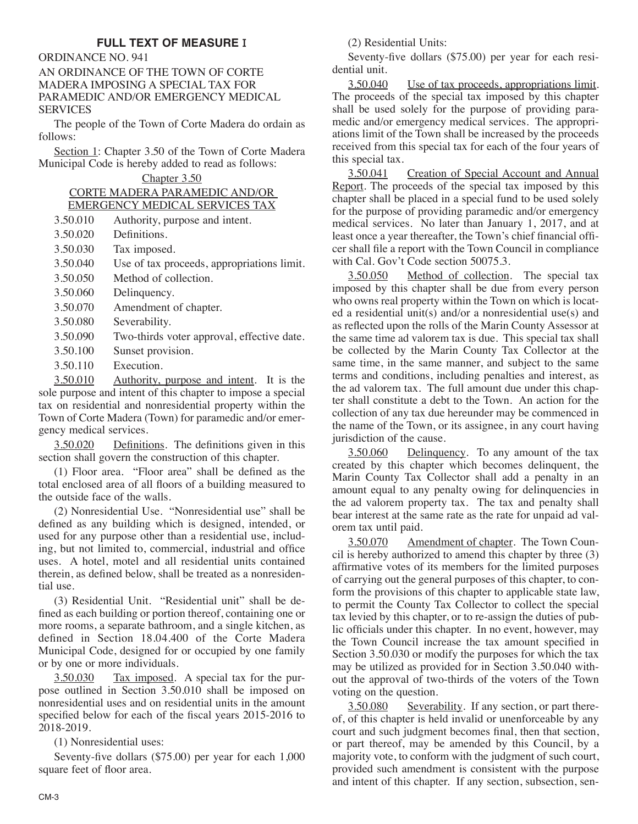# **FULL TEXT OF MEASURE** I

ORDINANCE NO. 941

AN ORDINANCE OF THE TOWN OF CORTE MADERA IMPOSING A SPECIAL TAX FOR PARAMEDIC AND/OR EMERGENCY MEDICAL SERVICES

The people of the Town of Corte Madera do ordain as follows:

Section 1: Chapter 3.50 of the Town of Corte Madera Municipal Code is hereby added to read as follows:

Chapter 3.50

### CORTE MADERA PARAMEDIC AND/OR EMERGENCY MEDICAL SERVICES TAX

3.50.010 Authority, purpose and intent.

- 3.50.020 Definitions.
- 3.50.030 Tax imposed.

3.50.040 Use of tax proceeds, appropriations limit.

- 3.50.050 Method of collection.
- 3.50.060 Delinquency.
- 3.50.070 Amendment of chapter.
- 3.50.080 Severability.
- 3.50.090 Two-thirds voter approval, effective date.
- 3.50.100 Sunset provision.
- 3.50.110 Execution.

3.50.010 Authority, purpose and intent. It is the sole purpose and intent of this chapter to impose a special tax on residential and nonresidential property within the Town of Corte Madera (Town) for paramedic and/or emergency medical services.

3.50.020 Definitions. The definitions given in this section shall govern the construction of this chapter.

(1) Floor area. "Floor area" shall be defined as the total enclosed area of all floors of a building measured to the outside face of the walls.

(2) Nonresidential Use. "Nonresidential use" shall be defined as any building which is designed, intended, or used for any purpose other than a residential use, including, but not limited to, commercial, industrial and office uses. A hotel, motel and all residential units contained therein, as defined below, shall be treated as a nonresidential use.

(3) Residential Unit. "Residential unit" shall be defined as each building or portion thereof, containing one or more rooms, a separate bathroom, and a single kitchen, as defined in Section 18.04.400 of the Corte Madera Municipal Code, designed for or occupied by one family or by one or more individuals.

3.50.030 Tax imposed. A special tax for the purpose outlined in Section 3.50.010 shall be imposed on nonresidential uses and on residential units in the amount specified below for each of the fiscal years 2015-2016 to 2018-2019.

(1) Nonresidential uses:

Seventy-five dollars (\$75.00) per year for each 1,000 square feet of floor area.

(2) Residential Units:

Seventy-five dollars (\$75.00) per year for each residential unit.

3.50.040 Use of tax proceeds, appropriations limit. The proceeds of the special tax imposed by this chapter shall be used solely for the purpose of providing paramedic and/or emergency medical services. The appropriations limit of the Town shall be increased by the proceeds received from this special tax for each of the four years of this special tax.

3.50.041 Creation of Special Account and Annual Report. The proceeds of the special tax imposed by this chapter shall be placed in a special fund to be used solely for the purpose of providing paramedic and/or emergency medical services. No later than January 1, 2017, and at least once a year thereafter, the Town's chief financial officer shall file a report with the Town Council in compliance with Cal. Gov't Code section 50075.3.

3.50.050 Method of collection. The special tax imposed by this chapter shall be due from every person who owns real property within the Town on which is located a residential unit(s) and/or a nonresidential use(s) and as reflected upon the rolls of the Marin County Assessor at the same time ad valorem tax is due. This special tax shall be collected by the Marin County Tax Collector at the same time, in the same manner, and subject to the same terms and conditions, including penalties and interest, as the ad valorem tax. The full amount due under this chapter shall constitute a debt to the Town. An action for the collection of any tax due hereunder may be commenced in the name of the Town, or its assignee, in any court having jurisdiction of the cause.

3.50.060 Delinquency. To any amount of the tax created by this chapter which becomes delinquent, the Marin County Tax Collector shall add a penalty in an amount equal to any penalty owing for delinquencies in the ad valorem property tax. The tax and penalty shall bear interest at the same rate as the rate for unpaid ad valorem tax until paid.

3.50.070 Amendment of chapter. The Town Council is hereby authorized to amend this chapter by three (3) affirmative votes of its members for the limited purposes of carrying out the general purposes of this chapter, to conform the provisions of this chapter to applicable state law, to permit the County Tax Collector to collect the special tax levied by this chapter, or to re-assign the duties of public officials under this chapter. In no event, however, may the Town Council increase the tax amount specified in Section 3.50.030 or modify the purposes for which the tax may be utilized as provided for in Section 3.50.040 without the approval of two-thirds of the voters of the Town voting on the question.

3.50.080 Severability. If any section, or part thereof, of this chapter is held invalid or unenforceable by any court and such judgment becomes final, then that section, or part thereof, may be amended by this Council, by a majority vote, to conform with the judgment of such court, provided such amendment is consistent with the purpose and intent of this chapter. If any section, subsection, sen